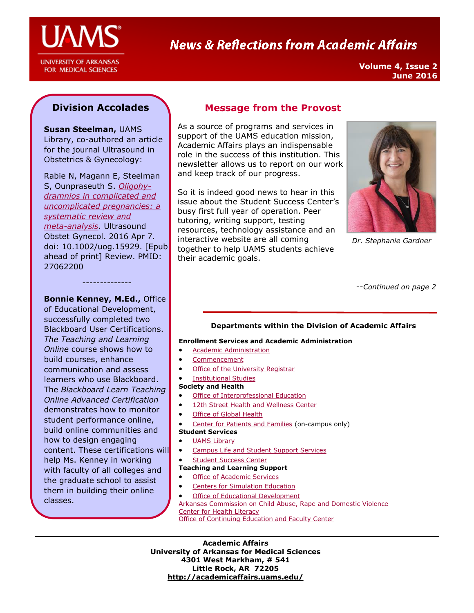

**UNIVERSITY OF ARKANSAS** FOR MEDICAL SCIENCES

# **News & Reflections from Academic Affairs**

**Volume 4, Issue 2 June 2016**

## **Division Accolades**

**Susan Steelman,** UAMS Library, co-authored an article for the journal Ultrasound in Obstetrics & Gynecology:

Rabie N, Magann E, Steelman S, Ounpraseuth S. *[Oligohy](https://www.ncbi.nlm.nih.gov/pubmed/27062200)[dramnios in complicated and](https://www.ncbi.nlm.nih.gov/pubmed/27062200)  [uncomplicated pregnancies: a](https://www.ncbi.nlm.nih.gov/pubmed/27062200)  [systematic review and](https://www.ncbi.nlm.nih.gov/pubmed/27062200)  [meta-analysis](https://www.ncbi.nlm.nih.gov/pubmed/27062200)*. Ultrasound Obstet Gynecol. 2016 Apr 7. doi: 10.1002/uog.15929. [Epub ahead of print] Review. PMID: 27062200

--------------

**Bonnie Kenney, M.Ed.,** Office of Educational Development, successfully completed two Blackboard User Certifications. *The Teaching and Learning Online* course shows how to build courses, enhance communication and assess learners who use Blackboard. The *Blackboard Learn Teaching Online Advanced Certification*  demonstrates how to monitor student performance online, build online communities and how to design engaging content. These certifications will help Ms. Kenney in working with faculty of all colleges and the graduate school to assist them in building their online classes.

## **Message from the Provost**

As a source of programs and services in support of the UAMS education mission, Academic Affairs plays an indispensable role in the success of this institution. This newsletter allows us to report on our work and keep track of our progress.

So it is indeed good news to hear in this issue about the Student Success Center's busy first full year of operation. Peer tutoring, writing support, testing resources, technology assistance and an interactive website are all coming together to help UAMS students achieve their academic goals.



*Dr. Stephanie Gardner*

--*Continued on page 2*

#### **Departments within the Division of Academic Affairs**

#### **Enrollment Services and Academic Administration**

- **•** Academic Administration
- [Commencement](http://commencement.uams.edu/)
- [Office of the University Registrar](http://registrar.uams.edu)
- [Institutional Studies](http://academicaffairs.uams.edu/academic-support-and-services/institutional-studies/office-of-institutional-studies/)

#### **Society and Health**

- [Office of Interprofessional Education](http://ipe.uams.edu/)
- [12th Street Health and Wellness Center](http://healthon12th.uams.edu/)
- [Office of Global Health](http://ogh.uams.edu/)
- [Center for Patients and Families](http://inside.uams.edu/pfcc/) (on-campus only)
- **Student Services**
- [UAMS Library](http://library.uams.edu/)
- **•** [Campus Life and Student Support Services](http://studentlife.uams.edu/)
- [Student Success Center](http://library.uams.edu/library-info/aassc/)

#### **Teaching and Learning Support**

- [Office of Academic Services](http://oas.uams.edu/)
- [Centers for Simulation Education](http://medicalsim.uams.edu/)
- [Office of Educational Development](http://www.uams.edu/oed/)

[Arkansas Commission on Child Abuse, Rape and Domestic Violence](http://accardv.uams.edu/)

[Center for Health Literacy](http://healthliteracy.uams.edu/)

[Office of Continuing Education and Faculty Center](http://ce.uams.edu/)

**Academic Affairs University of Arkansas for Medical Sciences 4301 West Markham, # 541 Little Rock, AR 72205 <http://academicaffairs.uams.edu/>**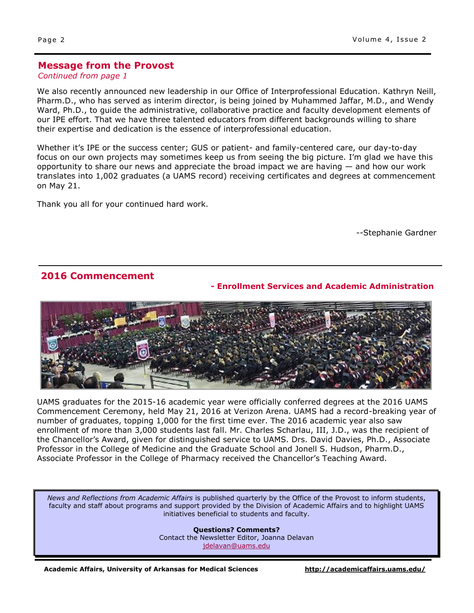#### **Message from the Provost**

*Continued from page 1*

We also recently announced new leadership in our Office of Interprofessional Education. Kathryn Neill, Pharm.D., who has served as interim director, is being joined by Muhammed Jaffar, M.D., and Wendy Ward, Ph.D., to guide the administrative, collaborative practice and faculty development elements of our IPE effort. That we have three talented educators from different backgrounds willing to share their expertise and dedication is the essence of interprofessional education.

Whether it's IPE or the success center; GUS or patient- and family-centered care, our day-to-day focus on our own projects may sometimes keep us from seeing the big picture. I'm glad we have this opportunity to share our news and appreciate the broad impact we are having — and how our work translates into 1,002 graduates (a UAMS record) receiving certificates and degrees at commencement on May 21.

Thank you all for your continued hard work.

--Stephanie Gardner

#### **2016 Commencement**

#### **- Enrollment Services and Academic Administration**



UAMS graduates for the 2015-16 academic year were officially conferred degrees at the 2016 UAMS Commencement Ceremony, held May 21, 2016 at Verizon Arena. UAMS had a record-breaking year of number of graduates, topping 1,000 for the first time ever. The 2016 academic year also saw enrollment of more than 3,000 students last fall. Mr. Charles Scharlau, III, J.D., was the recipient of the Chancellor's Award, given for distinguished service to UAMS. Drs. David Davies, Ph.D., Associate Professor in the College of Medicine and the Graduate School and Jonell S. Hudson, Pharm.D., Associate Professor in the College of Pharmacy received the Chancellor's Teaching Award.

*News and Reflections from Academic Affairs* is published quarterly by the Office of the Provost to inform students, faculty and staff about programs and support provided by the Division of Academic Affairs and to highlight UAMS initiatives beneficial to students and faculty.

> **Questions? Comments?** Contact the Newsletter Editor, Joanna Delavan [jdelavan@uams.edu](mailto:jdelavan@uams.edu)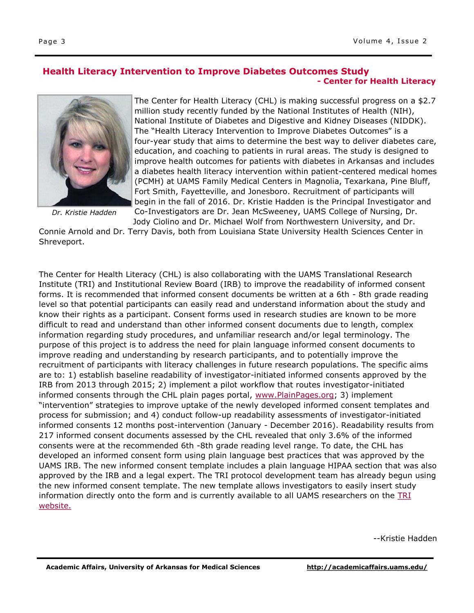#### **Health Literacy Intervention to Improve Diabetes Outcomes Study - Center for Health Literacy**



*Dr. Kristie Hadden*

The Center for Health Literacy (CHL) is making successful progress on a \$2.7 million study recently funded by the National Institutes of Health (NIH), National Institute of Diabetes and Digestive and Kidney Diseases (NIDDK). The "Health Literacy Intervention to Improve Diabetes Outcomes" is a four-year study that aims to determine the best way to deliver diabetes care, education, and coaching to patients in rural areas. The study is designed to improve health outcomes for patients with diabetes in Arkansas and includes a diabetes health literacy intervention within patient-centered medical homes (PCMH) at UAMS Family Medical Centers in Magnolia, Texarkana, Pine Bluff, Fort Smith, Fayetteville, and Jonesboro. Recruitment of participants will begin in the fall of 2016. Dr. Kristie Hadden is the Principal Investigator and Co-Investigators are Dr. Jean McSweeney, UAMS College of Nursing, Dr. Jody Ciolino and Dr. Michael Wolf from Northwestern University, and Dr.

Connie Arnold and Dr. Terry Davis, both from Louisiana State University Health Sciences Center in Shreveport.

The Center for Health Literacy (CHL) is also collaborating with the UAMS Translational Research Institute (TRI) and Institutional Review Board (IRB) to improve the readability of informed consent forms. It is recommended that informed consent documents be written at a 6th - 8th grade reading level so that potential participants can easily read and understand information about the study and know their rights as a participant. Consent forms used in research studies are known to be more difficult to read and understand than other informed consent documents due to length, complex information regarding study procedures, and unfamiliar research and/or legal terminology. The purpose of this project is to address the need for plain language informed consent documents to improve reading and understanding by research participants, and to potentially improve the recruitment of participants with literacy challenges in future research populations. The specific aims are to: 1) establish baseline readability of investigator-initiated informed consents approved by the IRB from 2013 through 2015; 2) implement a pilot workflow that routes investigator-initiated informed consents through the CHL plain pages portal, [www.PlainPages.org;](https://apps.uams.edu/HealthLiteracy/default.aspx) 3) implement "intervention" strategies to improve uptake of the newly developed informed consent templates and process for submission; and 4) conduct follow-up readability assessments of investigator-initiated informed consents 12 months post-intervention (January - December 2016). Readability results from 217 informed consent documents assessed by the CHL revealed that only 3.6% of the informed consents were at the recommended 6th -8th grade reading level range. To date, the CHL has developed an informed consent form using plain language best practices that was approved by the UAMS IRB. The new informed consent template includes a plain language HIPAA section that was also approved by the IRB and a legal expert. The TRI protocol development team has already begun using the new informed consent template. The new template allows investigators to easily insert study information directly onto the form and is currently available to all UAMS researchers on the TRI [website.](http://tri.uams.edu/clinical-research-facilities-support/clinical-research-team/protocol-development/)

--Kristie Hadden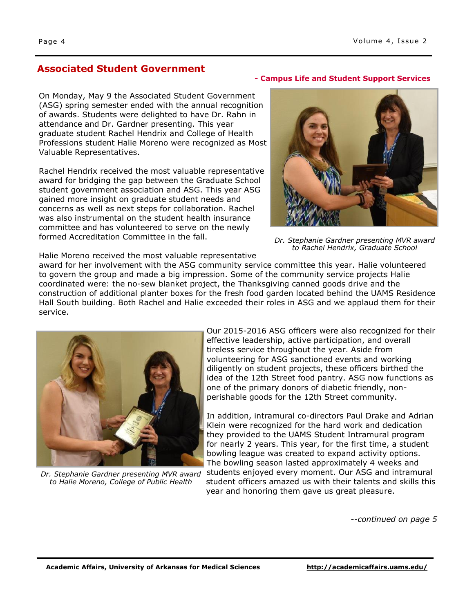## **Associated Student Government**

On Monday, May 9 the Associated Student Government (ASG) spring semester ended with the annual recognition of awards. Students were delighted to have Dr. Rahn in attendance and Dr. Gardner presenting. This year graduate student Rachel Hendrix and College of Health Professions student Halie Moreno were recognized as Most Valuable Representatives.

Rachel Hendrix received the most valuable representative award for bridging the gap between the Graduate School student government association and ASG. This year ASG gained more insight on graduate student needs and concerns as well as next steps for collaboration. Rachel was also instrumental on the student health insurance committee and has volunteered to serve on the newly formed Accreditation Committee in the fall.

#### **- Campus Life and Student Support Services**



*Dr. Stephanie Gardner presenting MVR award to Rachel Hendrix, Graduate School* 

Halie Moreno received the most valuable representative

award for her involvement with the ASG community service committee this year. Halie volunteered to govern the group and made a big impression. Some of the community service projects Halie coordinated were: the no-sew blanket project, the Thanksgiving canned goods drive and the construction of additional planter boxes for the fresh food garden located behind the UAMS Residence Hall South building. Both Rachel and Halie exceeded their roles in ASG and we applaud them for their service.



*Dr. Stephanie Gardner presenting MVR award to Halie Moreno, College of Public Health*

Our 2015-2016 ASG officers were also recognized for their effective leadership, active participation, and overall tireless service throughout the year. Aside from volunteering for ASG sanctioned events and working diligently on student projects, these officers birthed the idea of the 12th Street food pantry. ASG now functions as one of the primary donors of diabetic friendly, nonperishable goods for the 12th Street community.

In addition, intramural co-directors Paul Drake and Adrian Klein were recognized for the hard work and dedication they provided to the UAMS Student Intramural program for nearly 2 years. This year, for the first time, a student bowling league was created to expand activity options. The bowling season lasted approximately 4 weeks and students enjoyed every moment. Our ASG and intramural student officers amazed us with their talents and skills this year and honoring them gave us great pleasure.

*--continued on page 5*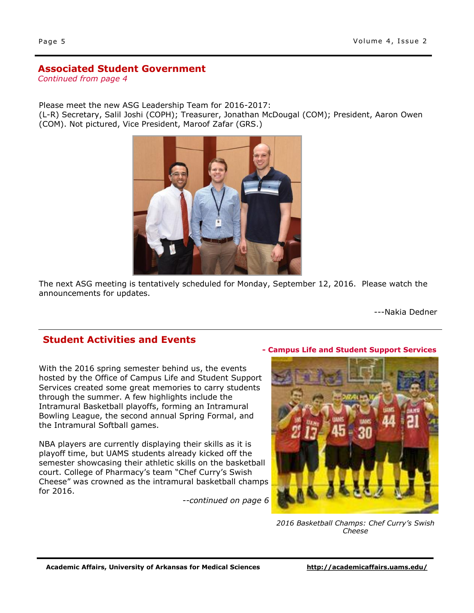## **Associated Student Government**

*Continued from page 4*

Please meet the new ASG Leadership Team for 2016-2017:

(L-R) Secretary, Salil Joshi (COPH); Treasurer, Jonathan McDougal (COM); President, Aaron Owen (COM). Not pictured, Vice President, Maroof Zafar (GRS.)



The next ASG meeting is tentatively scheduled for Monday, September 12, 2016. Please watch the announcements for updates.

---Nakia Dedner

## **Student Activities and Events**

With the 2016 spring semester behind us, the events hosted by the Office of Campus Life and Student Support Services created some great memories to carry students through the summer. A few highlights include the Intramural Basketball playoffs, forming an Intramural Bowling League, the second annual Spring Formal, and the Intramural Softball games.

NBA players are currently displaying their skills as it is playoff time, but UAMS students already kicked off the semester showcasing their athletic skills on the basketball court. College of Pharmacy's team "Chef Curry's Swish Cheese" was crowned as the intramural basketball champs for 2016.

*--continued on page 6*

#### **- Campus Life and Student Support Services**



*2016 Basketball Champs: Chef Curry's Swish Cheese*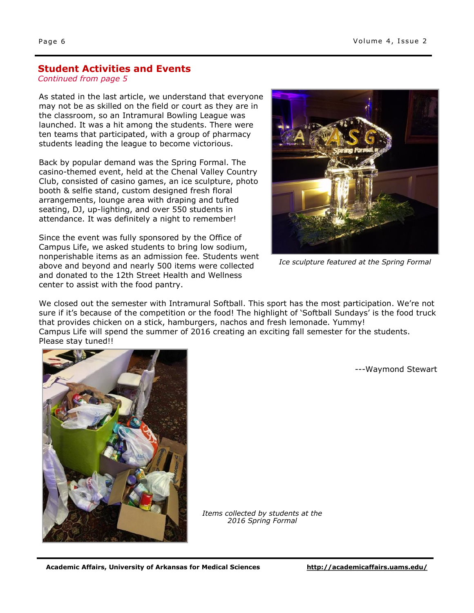#### **Student Activities and Events**

#### *Continued from page 5*

As stated in the last article, we understand that everyone may not be as skilled on the field or court as they are in the classroom, so an Intramural Bowling League was launched. It was a hit among the students. There were ten teams that participated, with a group of pharmacy students leading the league to become victorious.

Back by popular demand was the Spring Formal. The casino-themed event, held at the Chenal Valley Country Club, consisted of casino games, an ice sculpture, photo booth & selfie stand, custom designed fresh floral arrangements, lounge area with draping and tufted seating, DJ, up-lighting, and over 550 students in attendance. It was definitely a night to remember!

Since the event was fully sponsored by the Office of Campus Life, we asked students to bring low sodium, nonperishable items as an admission fee. Students went above and beyond and nearly 500 items were collected and donated to the 12th Street Health and Wellness center to assist with the food pantry.



*Ice sculpture featured at the Spring Formal*

We closed out the semester with Intramural Softball. This sport has the most participation. We're not sure if it's because of the competition or the food! The highlight of 'Softball Sundays' is the food truck that provides chicken on a stick, hamburgers, nachos and fresh lemonade. Yummy! Campus Life will spend the summer of 2016 creating an exciting fall semester for the students. Please stay tuned!!

---Waymond Stewart



*Items collected by students at the 2016 Spring Formal*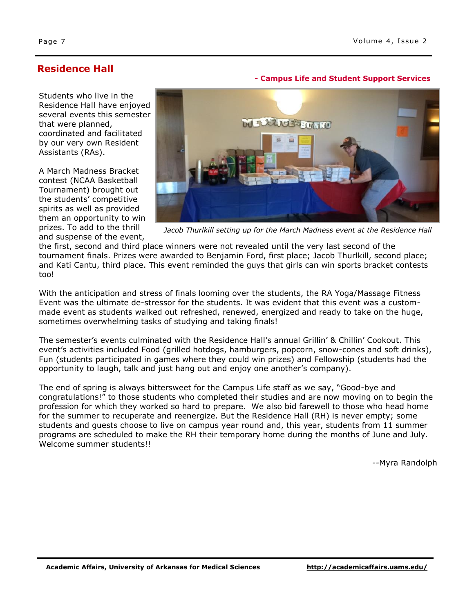**- Campus Life and Student Support Services**

## **Residence Hall**

Students who live in the Residence Hall have enjoyed several events this semester that were planned, coordinated and facilitated by our very own Resident Assistants (RAs).

A March Madness Bracket contest (NCAA Basketball Tournament) brought out the students' competitive spirits as well as provided them an opportunity to win prizes. To add to the thrill and suspense of the event,



Jacob Thurlkill setting up for the March Madness event at the Residence Hall

the first, second and third place winners were not revealed until the very last second of the tournament finals. Prizes were awarded to Benjamin Ford, first place; Jacob Thurlkill, second place; and Kati Cantu, third place. This event reminded the guys that girls can win sports bracket contests too!

With the anticipation and stress of finals looming over the students, the RA Yoga/Massage Fitness Event was the ultimate de-stressor for the students. It was evident that this event was a custommade event as students walked out refreshed, renewed, energized and ready to take on the huge, sometimes overwhelming tasks of studying and taking finals!

The semester's events culminated with the Residence Hall's annual Grillin' & Chillin' Cookout. This event's activities included Food (grilled hotdogs, hamburgers, popcorn, snow-cones and soft drinks), Fun (students participated in games where they could win prizes) and Fellowship (students had the opportunity to laugh, talk and just hang out and enjoy one another's company).

The end of spring is always bittersweet for the Campus Life staff as we say, "Good-bye and congratulations!" to those students who completed their studies and are now moving on to begin the profession for which they worked so hard to prepare. We also bid farewell to those who head home for the summer to recuperate and reenergize. But the Residence Hall (RH) is never empty; some students and guests choose to live on campus year round and, this year, students from 11 summer programs are scheduled to make the RH their temporary home during the months of June and July. Welcome summer students!!

*--*Myra Randolph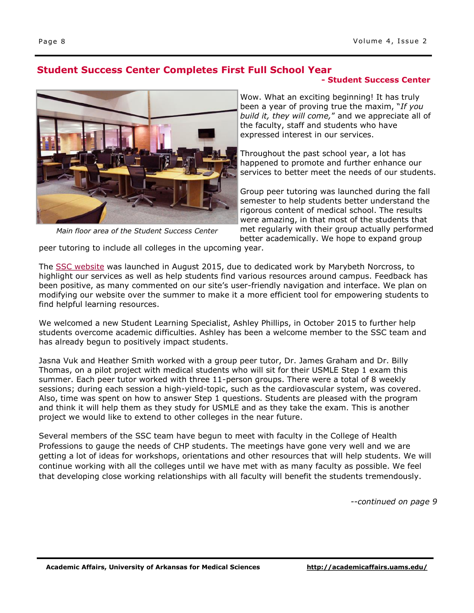## **Student Success Center Completes First Full School Year**

## **- Student Success Center**



*Main floor area of the Student Success Center*

Wow. What an exciting beginning! It has truly been a year of proving true the maxim, "*If you build it, they will come,*" and we appreciate all of the faculty, staff and students who have expressed interest in our services.

Throughout the past school year, a lot has happened to promote and further enhance our services to better meet the needs of our students.

Group peer tutoring was launched during the fall semester to help students better understand the rigorous content of medical school. The results were amazing, in that most of the students that met regularly with their group actually performed better academically. We hope to expand group

peer tutoring to include all colleges in the upcoming year.

The [SSC website](http://studentsuccess.uams.edu) was launched in August 2015, due to dedicated work by Marybeth Norcross, to highlight our services as well as help students find various resources around campus. Feedback has been positive, as many commented on our site's user-friendly navigation and interface. We plan on modifying our website over the summer to make it a more efficient tool for empowering students to find helpful learning resources.

We welcomed a new Student Learning Specialist, Ashley Phillips, in October 2015 to further help students overcome academic difficulties. Ashley has been a welcome member to the SSC team and has already begun to positively impact students.

Jasna Vuk and Heather Smith worked with a group peer tutor, Dr. James Graham and Dr. Billy Thomas, on a pilot project with medical students who will sit for their USMLE Step 1 exam this summer. Each peer tutor worked with three 11-person groups. There were a total of 8 weekly sessions; during each session a high-yield-topic, such as the cardiovascular system, was covered. Also, time was spent on how to answer Step 1 questions. Students are pleased with the program and think it will help them as they study for USMLE and as they take the exam. This is another project we would like to extend to other colleges in the near future.

Several members of the SSC team have begun to meet with faculty in the College of Health Professions to gauge the needs of CHP students. The meetings have gone very well and we are getting a lot of ideas for workshops, orientations and other resources that will help students. We will continue working with all the colleges until we have met with as many faculty as possible. We feel that developing close working relationships with all faculty will benefit the students tremendously.

*--continued on page 9*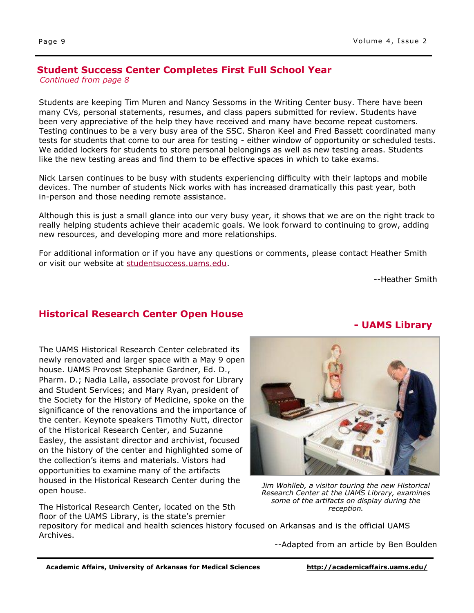#### **Student Success Center Completes First Full School Year** *Continued from page 8*

Students are keeping Tim Muren and Nancy Sessoms in the Writing Center busy. There have been many CVs, personal statements, resumes, and class papers submitted for review. Students have been very appreciative of the help they have received and many have become repeat customers. Testing continues to be a very busy area of the SSC. Sharon Keel and Fred Bassett coordinated many tests for students that come to our area for testing - either window of opportunity or scheduled tests. We added lockers for students to store personal belongings as well as new testing areas. Students like the new testing areas and find them to be effective spaces in which to take exams.

Nick Larsen continues to be busy with students experiencing difficulty with their laptops and mobile devices. The number of students Nick works with has increased dramatically this past year, both in-person and those needing remote assistance.

Although this is just a small glance into our very busy year, it shows that we are on the right track to really helping students achieve their academic goals. We look forward to continuing to grow, adding new resources, and developing more and more relationships.

For additional information or if you have any questions or comments, please contact Heather Smith or visit our website at [studentsuccess.uams.edu.](http://studentsuccess.uams.edu)

--Heather Smith

**- UAMS Library**

## **Historical Research Center Open House**

The UAMS Historical Research Center celebrated its newly renovated and larger space with a May 9 open house. UAMS Provost Stephanie Gardner, Ed. D., Pharm. D.; Nadia Lalla, associate provost for Library and Student Services; and Mary Ryan, president of the Society for the History of Medicine, spoke on the significance of the renovations and the importance of the center. Keynote speakers Timothy Nutt, director of the Historical Research Center, and Suzanne Easley, the assistant director and archivist, focused on the history of the center and highlighted some of the collection's items and materials. Vistors had opportunities to examine many of the artifacts housed in the Historical Research Center during the open house.

The Historical Research Center, located on the 5th floor of the UAMS Library, is the state's premier

*Jim Wohlleb, a visitor touring the new Historical Research Center at the UAMS Library, examines some of the artifacts on display during the reception.* 

repository for medical and health sciences history focused on Arkansas and is the official UAMS Archives.

--Adapted from an article by Ben Boulden

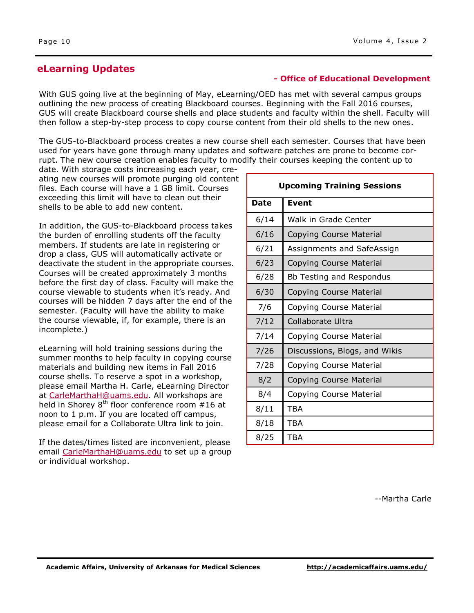## **eLearning Updates**

#### **- Office of Educational Development**

With GUS going live at the beginning of May, eLearning/OED has met with several campus groups outlining the new process of creating Blackboard courses. Beginning with the Fall 2016 courses, GUS will create Blackboard course shells and place students and faculty within the shell. Faculty will then follow a step-by-step process to copy course content from their old shells to the new ones.

The GUS-to-Blackboard process creates a new course shell each semester. Courses that have been used for years have gone through many updates and software patches are prone to become corrupt. The new course creation enables faculty to modify their courses keeping the content up to

date. With storage costs increasing each year, creating new courses will promote purging old content files. Each course will have a 1 GB limit. Courses exceeding this limit will have to clean out their shells to be able to add new content.

In addition, the GUS-to-Blackboard process takes the burden of enrolling students off the faculty members. If students are late in registering or drop a class, GUS will automatically activate or deactivate the student in the appropriate courses. Courses will be created approximately 3 months before the first day of class. Faculty will make the course viewable to students when it's ready. And courses will be hidden 7 days after the end of the semester. (Faculty will have the ability to make the course viewable, if, for example, there is an incomplete.)

eLearning will hold training sessions during the summer months to help faculty in copying course materials and building new items in Fall 2016 course shells. To reserve a spot in a workshop, please email Martha H. Carle, eLearning Director at [CarleMarthaH@uams.edu.](mailto:CarleMarthaH@uams.edu) All workshops are held in Shorey  $8^{th}$  floor conference room #16 at noon to 1 p.m. If you are located off campus, please email for a Collaborate Ultra link to join.

If the dates/times listed are inconvenient, please email [CarleMarthaH@uams.edu](mailto:CarleMarthaH@uams.edu) to set up a group or individual workshop.

| <b>Upcoming Training Sessions</b> |                                |
|-----------------------------------|--------------------------------|
| <b>Date</b>                       | Event                          |
| 6/14                              | Walk in Grade Center           |
| 6/16                              | <b>Copying Course Material</b> |
| 6/21                              | Assignments and SafeAssign     |
| 6/23                              | <b>Copying Course Material</b> |
| 6/28                              | Bb Testing and Respondus       |
| 6/30                              | <b>Copying Course Material</b> |
| 7/6                               | Copying Course Material        |
| 7/12                              | Collaborate Ultra              |
| 7/14                              | Copying Course Material        |
| 7/26                              | Discussions, Blogs, and Wikis  |
| 7/28                              | Copying Course Material        |
| 8/2                               | Copying Course Material        |
| 8/4                               | Copying Course Material        |
| 8/11                              | TBA                            |
| 8/18                              | TBA                            |
| 8/25                              | TBA                            |

--Martha Carle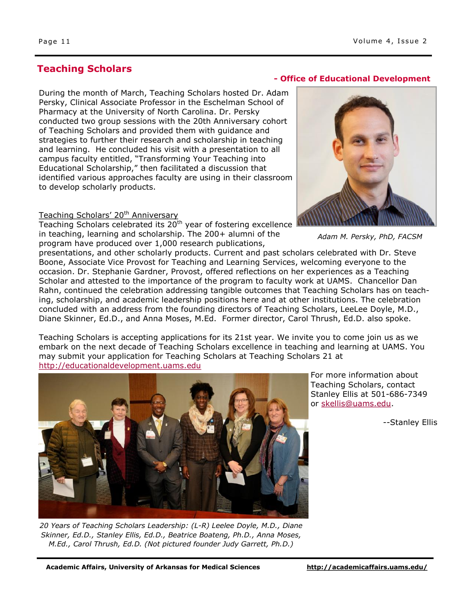## **Teaching Scholars**

During the month of March, Teaching Scholars hosted Dr. Adam Persky, Clinical Associate Professor in the Eschelman School of Pharmacy at the University of North Carolina. Dr. Persky conducted two group sessions with the 20th Anniversary cohort of Teaching Scholars and provided them with guidance and strategies to further their research and scholarship in teaching and learning. He concluded his visit with a presentation to all campus faculty entitled, "Transforming Your Teaching into Educational Scholarship," then facilitated a discussion that identified various approaches faculty are using in their classroom to develop scholarly products.

#### Teaching Scholars' 20<sup>th</sup> Anniversary

Teaching Scholars celebrated its 20<sup>th</sup> year of fostering excellence in teaching, learning and scholarship. The 200+ alumni of the program have produced over 1,000 research publications,

#### **- Office of Educational Development**



*Adam M. Persky, PhD, FACSM*

presentations, and other scholarly products. Current and past scholars celebrated with Dr. Steve Boone, Associate Vice Provost for Teaching and Learning Services, welcoming everyone to the occasion. Dr. Stephanie Gardner, Provost, offered reflections on her experiences as a Teaching Scholar and attested to the importance of the program to faculty work at UAMS. Chancellor Dan Rahn, continued the celebration addressing tangible outcomes that Teaching Scholars has on teaching, scholarship, and academic leadership positions here and at other institutions. The celebration concluded with an address from the founding directors of Teaching Scholars, LeeLee Doyle, M.D., Diane Skinner, Ed.D., and Anna Moses, M.Ed. Former director, Carol Thrush, Ed.D. also spoke.

Teaching Scholars is accepting applications for its 21st year. We invite you to come join us as we embark on the next decade of Teaching Scholars excellence in teaching and learning at UAMS. You may submit your application for Teaching Scholars at Teaching Scholars 21 at <http://educationaldevelopment.uams.edu>



For more information about Teaching Scholars, contact Stanley Ellis at 501-686-7349 or skellis@uams.edu.

--Stanley Ellis

*20 Years of Teaching Scholars Leadership: (L-R) Leelee Doyle, M.D., Diane Skinner, Ed.D., Stanley Ellis, Ed.D., Beatrice Boateng, Ph.D., Anna Moses, M.Ed., Carol Thrush, Ed.D. (Not pictured founder Judy Garrett, Ph.D.)*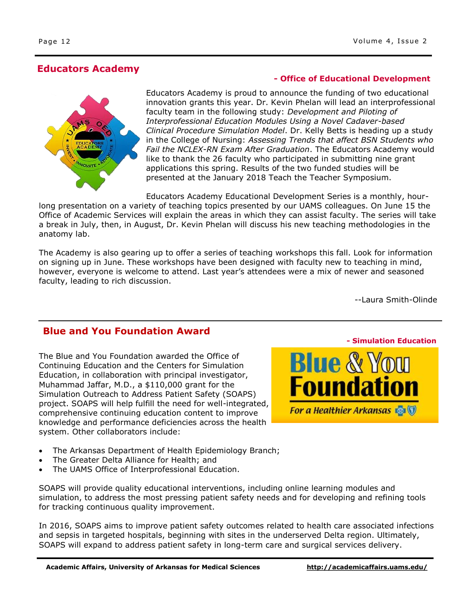## **Educators Academy**

#### **- Office of Educational Development**

Educators Academy is proud to announce the funding of two educational innovation grants this year. Dr. Kevin Phelan will lead an interprofessional faculty team in the following study: *Development and Piloting of Interprofessional Education Modules Using a Novel Cadaver-based Clinical Procedure Simulation Model*. Dr. Kelly Betts is heading up a study in the College of Nursing: *Assessing Trends that affect BSN Students who Fail the NCLEX-RN Exam After Graduation*. The Educators Academy would like to thank the 26 faculty who participated in submitting nine grant applications this spring. Results of the two funded studies will be presented at the January 2018 Teach the Teacher Symposium.

Educators Academy Educational Development Series is a monthly, hourlong presentation on a variety of teaching topics presented by our UAMS colleagues. On June 15 the Office of Academic Services will explain the areas in which they can assist faculty. The series will take a break in July, then, in August, Dr. Kevin Phelan will discuss his new teaching methodologies in the anatomy lab.

The Academy is also gearing up to offer a series of teaching workshops this fall. Look for information on signing up in June. These workshops have been designed with faculty new to teaching in mind, however, everyone is welcome to attend. Last year's attendees were a mix of newer and seasoned faculty, leading to rich discussion.

--Laura Smith-Olinde

## **Blue and You Foundation Award**

The Blue and You Foundation awarded the Office of Continuing Education and the Centers for Simulation Education, in collaboration with principal investigator, Muhammad Jaffar, M.D., a \$110,000 grant for the Simulation Outreach to Address Patient Safety (SOAPS) project. SOAPS will help fulfill the need for well-integrated, comprehensive continuing education content to improve knowledge and performance deficiencies across the health system. Other collaborators include:

- The Arkansas Department of Health Epidemiology Branch;
- The Greater Delta Alliance for Health; and
- The UAMS Office of Interprofessional Education.

SOAPS will provide quality educational interventions, including online learning modules and simulation, to address the most pressing patient safety needs and for developing and refining tools for tracking continuous quality improvement.

In 2016, SOAPS aims to improve patient safety outcomes related to health care associated infections and sepsis in targeted hospitals, beginning with sites in the underserved Delta region. Ultimately, SOAPS will expand to address patient safety in long-term care and surgical services delivery.



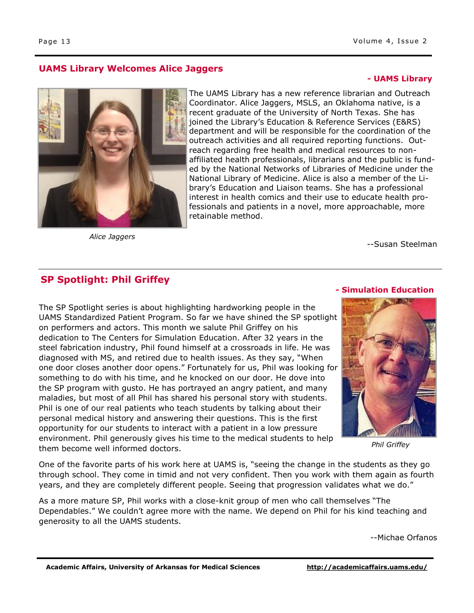#### **UAMS Library Welcomes Alice Jaggers**

## **- UAMS Library**



*Alice Jaggers*

--Susan Steelman

## **SP Spotlight: Phil Griffey**

The SP Spotlight series is about highlighting hardworking people in the UAMS Standardized Patient Program. So far we have shined the SP spotlight on performers and actors. This month we salute Phil Griffey on his dedication to The Centers for Simulation Education. After 32 years in the steel fabrication industry, Phil found himself at a crossroads in life. He was diagnosed with MS, and retired due to health issues. As they say, "When one door closes another door opens." Fortunately for us, Phil was looking for something to do with his time, and he knocked on our door. He dove into the SP program with gusto. He has portrayed an angry patient, and many maladies, but most of all Phil has shared his personal story with students. Phil is one of our real patients who teach students by talking about their personal medical history and answering their questions. This is the first opportunity for our students to interact with a patient in a low pressure environment. Phil generously gives his time to the medical students to help them become well informed doctors.



**- Simulation Education**

*Phil Griffey*

One of the favorite parts of his work here at UAMS is, "seeing the change in the students as they go through school. They come in timid and not very confident. Then you work with them again as fourth years, and they are completely different people. Seeing that progression validates what we do."

As a more mature SP, Phil works with a close-knit group of men who call themselves "The Dependables." We couldn't agree more with the name. We depend on Phil for his kind teaching and generosity to all the UAMS students.

--Michae Orfanos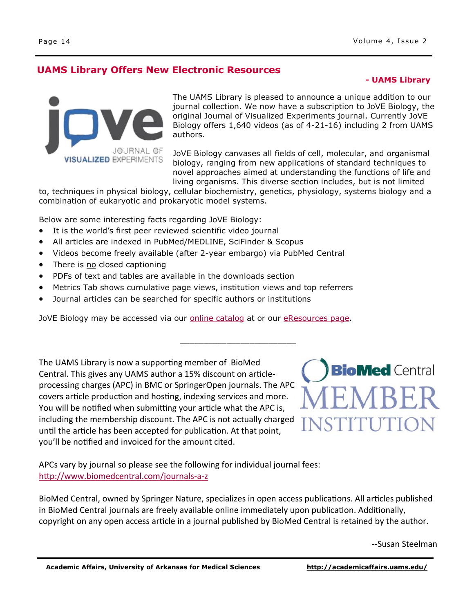## **UAMS Library Offers New Electronic Resources**

#### **- UAMS Library**



The UAMS Library is pleased to announce a unique addition to our journal collection. We now have a subscription to JoVE Biology, the original Journal of Visualized Experiments journal. Currently JoVE Biology offers 1,640 videos (as of 4-21-16) including 2 from UAMS authors.

JoVE Biology canvases all fields of cell, molecular, and organismal biology, ranging from new applications of standard techniques to novel approaches aimed at understanding the functions of life and living organisms. This diverse section includes, but is not limited

to, techniques in physical biology, cellular biochemistry, genetics, physiology, systems biology and a combination of eukaryotic and prokaryotic model systems.

\_\_\_\_\_\_\_\_\_\_\_\_\_\_\_\_\_\_\_\_\_\_\_\_\_

Below are some interesting facts regarding JoVE Biology:

- It is the world's first peer reviewed scientific video journal
- All articles are indexed in PubMed/MEDLINE, SciFinder & Scopus
- Videos become freely available (after 2-year embargo) via PubMed Central
- There is no closed captioning
- PDFs of text and tables are available in the downloads section
- Metrics Tab shows cumulative page views, institution views and top referrers
- Journal articles can be searched for specific authors or institutions

JoVE Biology may be accessed via our **online catalog** at or our [eResources page.](http://library.uams.edu/online-resources/eresources/#J)

The UAMS Library is now a supporting member of BioMed Central. This gives any UAMS author a 15% discount on articleprocessing charges (APC) in BMC or SpringerOpen journals. The APC covers article production and hosting, indexing services and more. You will be notified when submitting your article what the APC is, including the membership discount. The APC is not actually charged until the article has been accepted for publication. At that point, you'll be notified and invoiced for the amount cited.



APCs vary by journal so please see the following for individual journal fees: [http://www.biomedcentral.com/journals](http://www.biomedcentral.com/journals-a-z)-a-z

BioMed Central, owned by Springer Nature, specializes in open access publications. All articles published in BioMed Central journals are freely available online immediately upon publication. Additionally, copyright on any open access article in a journal published by BioMed Central is retained by the author.

--Susan Steelman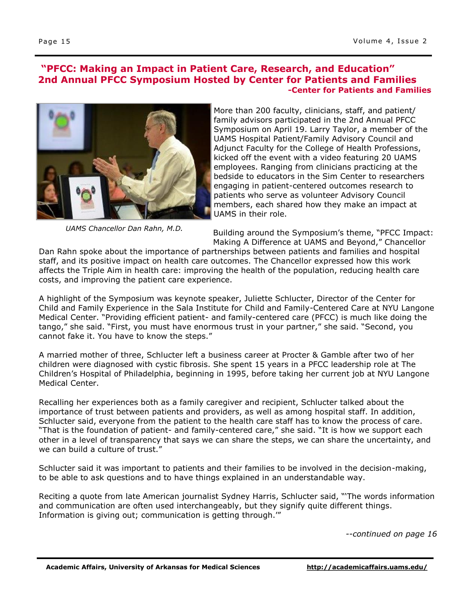#### **"PFCC: Making an Impact in Patient Care, Research, and Education" 2nd Annual PFCC Symposium Hosted by Center for Patients and Families -Center for Patients and Families**



*UAMS Chancellor Dan Rahn, M.D.*

More than 200 faculty, clinicians, staff, and patient/ family advisors participated in the 2nd Annual PFCC Symposium on April 19. Larry Taylor, a member of the UAMS Hospital Patient/Family Advisory Council and Adjunct Faculty for the College of Health Professions, kicked off the event with a video featuring 20 UAMS employees. Ranging from clinicians practicing at the bedside to educators in the Sim Center to researchers engaging in patient-centered outcomes research to patients who serve as volunteer Advisory Council members, each shared how they make an impact at UAMS in their role.

Building around the Symposium's theme, "PFCC Impact: Making A Difference at UAMS and Beyond," Chancellor

Dan Rahn spoke about the importance of partnerships between patients and families and hospital staff, and its positive impact on health care outcomes. The Chancellor expressed how this work affects the Triple Aim in health care: improving the health of the population, reducing health care costs, and improving the patient care experience.

A highlight of the Symposium was keynote speaker, Juliette Schlucter, Director of the Center for Child and Family Experience in the Sala Institute for Child and Family-Centered Care at NYU Langone Medical Center. "Providing efficient patient- and family-centered care (PFCC) is much like doing the tango," she said. "First, you must have enormous trust in your partner," she said. "Second, you cannot fake it. You have to know the steps."

A married mother of three, Schlucter left a business career at Procter & Gamble after two of her children were diagnosed with cystic fibrosis. She spent 15 years in a PFCC leadership role at The Children's Hospital of Philadelphia, beginning in 1995, before taking her current job at NYU Langone Medical Center.

Recalling her experiences both as a family caregiver and recipient, Schlucter talked about the importance of trust between patients and providers, as well as among hospital staff. In addition, Schlucter said, everyone from the patient to the health care staff has to know the process of care. "That is the foundation of patient- and family-centered care," she said. "It is how we support each other in a level of transparency that says we can share the steps, we can share the uncertainty, and we can build a culture of trust."

Schlucter said it was important to patients and their families to be involved in the decision-making, to be able to ask questions and to have things explained in an understandable way.

Reciting a quote from late American journalist Sydney Harris, Schlucter said, "'The words information and communication are often used interchangeably, but they signify quite different things. Information is giving out; communication is getting through.'"

*--continued on page 16*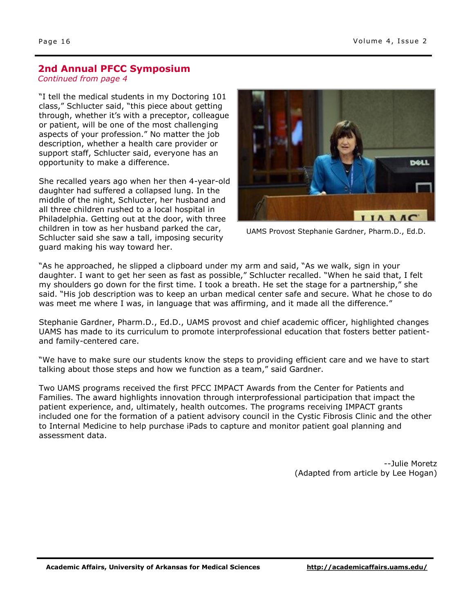## **2nd Annual PFCC Symposium**

*Continued from page 4*

"I tell the medical students in my Doctoring 101 class," Schlucter said, "this piece about getting through, whether it's with a preceptor, colleague or patient, will be one of the most challenging aspects of your profession." No matter the job description, whether a health care provider or support staff, Schlucter said, everyone has an opportunity to make a difference.

She recalled years ago when her then 4-year-old daughter had suffered a collapsed lung. In the middle of the night, Schlucter, her husband and all three children rushed to a local hospital in Philadelphia. Getting out at the door, with three children in tow as her husband parked the car, Schlucter said she saw a tall, imposing security guard making his way toward her.



UAMS Provost Stephanie Gardner, Pharm.D., Ed.D.

"As he approached, he slipped a clipboard under my arm and said, "As we walk, sign in your daughter. I want to get her seen as fast as possible," Schlucter recalled. "When he said that, I felt my shoulders go down for the first time. I took a breath. He set the stage for a partnership," she said. "His job description was to keep an urban medical center safe and secure. What he chose to do was meet me where I was, in language that was affirming, and it made all the difference."

Stephanie Gardner, Pharm.D., Ed.D., UAMS provost and chief academic officer, highlighted changes UAMS has made to its curriculum to promote interprofessional education that fosters better patientand family-centered care.

"We have to make sure our students know the steps to providing efficient care and we have to start talking about those steps and how we function as a team," said Gardner.

Two UAMS programs received the first PFCC IMPACT Awards from the Center for Patients and Families. The award highlights innovation through interprofessional participation that impact the patient experience, and, ultimately, health outcomes. The programs receiving IMPACT grants included one for the formation of a patient advisory council in the Cystic Fibrosis Clinic and the other to Internal Medicine to help purchase iPads to capture and monitor patient goal planning and assessment data.

> --Julie Moretz (Adapted from article by Lee Hogan)